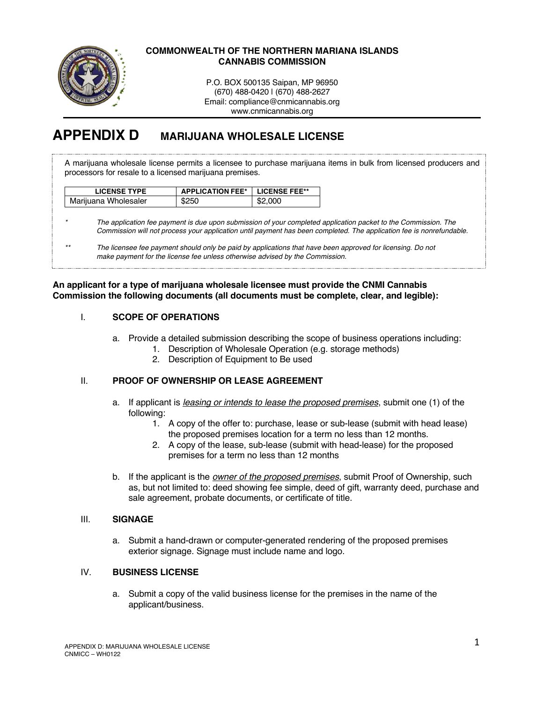

### **COMMONWEALTH OF THE NORTHERN MARIANA ISLANDS CANNABIS COMMISSION**

P.O. BOX 500135 Saipan, MP 96950 (670) 488-0420 | (670) 488-2627 Email: compliance@cnmicannabis.org www.cnmicannabis.org

# **APPENDIX D MARIJUANA WHOLESALE LICENSE**

A marijuana wholesale license permits a licensee to purchase marijuana items in bulk from licensed producers and processors for resale to a licensed marijuana premises.

| <b>LICENSE TYPE</b>  | <b>APPLICATION FEE*   LICENSE FEE**</b> |         |
|----------------------|-----------------------------------------|---------|
| Marijuana Wholesaler | \$250                                   | \$2,000 |

*\* The application fee payment is due upon submission of your completed application packet to the Commission. The Commission will not process your application until payment has been completed. The application fee is nonrefundable.*

### **An applicant for a type of marijuana wholesale licensee must provide the CNMI Cannabis Commission the following documents (all documents must be complete, clear, and legible):**

# I. **SCOPE OF OPERATIONS**

- a. Provide a detailed submission describing the scope of business operations including:
	- 1. Description of Wholesale Operation (e.g. storage methods)
	- 2. Description of Equipment to Be used

# II. **PROOF OF OWNERSHIP OR LEASE AGREEMENT**

- a. If applicant is *leasing or intends to lease the proposed premises*, submit one (1) of the following:
	- 1. A copy of the offer to: purchase, lease or sub-lease (submit with head lease) the proposed premises location for a term no less than 12 months.
	- 2. A copy of the lease, sub-lease (submit with head-lease) for the proposed premises for a term no less than 12 months
- b. If the applicant is the *owner of the proposed premises*, submit Proof of Ownership, such as, but not limited to: deed showing fee simple, deed of gift, warranty deed, purchase and sale agreement, probate documents, or certificate of title.

#### III. **SIGNAGE**

a. Submit a hand-drawn or computer-generated rendering of the proposed premises exterior signage. Signage must include name and logo.

# IV. **BUSINESS LICENSE**

a. Submit a copy of the valid business license for the premises in the name of the applicant/business.

*<sup>\*\*</sup> The licensee fee payment should only be paid by applications that have been approved for licensing. Do not make payment for the license fee unless otherwise advised by the Commission.*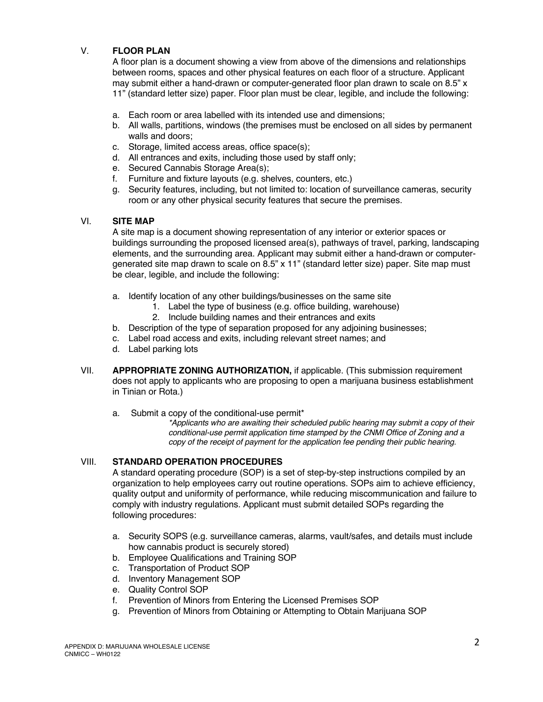# V. **FLOOR PLAN**

A floor plan is a document showing a view from above of the dimensions and relationships between rooms, spaces and other physical features on each floor of a structure. Applicant may submit either a hand-drawn or computer-generated floor plan drawn to scale on 8.5" x 11" (standard letter size) paper. Floor plan must be clear, legible, and include the following:

- a. Each room or area labelled with its intended use and dimensions;
- b. All walls, partitions, windows (the premises must be enclosed on all sides by permanent walls and doors;
- c. Storage, limited access areas, office space(s);
- d. All entrances and exits, including those used by staff only;
- e. Secured Cannabis Storage Area(s);
- f. Furniture and fixture layouts (e.g. shelves, counters, etc.)
- g. Security features, including, but not limited to: location of surveillance cameras, security room or any other physical security features that secure the premises.

### VI. **SITE MAP**

A site map is a document showing representation of any interior or exterior spaces or buildings surrounding the proposed licensed area(s), pathways of travel, parking, landscaping elements, and the surrounding area. Applicant may submit either a hand-drawn or computergenerated site map drawn to scale on 8.5" x 11" (standard letter size) paper. Site map must be clear, legible, and include the following:

- a. Identify location of any other buildings/businesses on the same site
	- 1. Label the type of business (e.g. office building, warehouse)
	- 2. Include building names and their entrances and exits
- b. Description of the type of separation proposed for any adjoining businesses;
- c. Label road access and exits, including relevant street names; and
- d. Label parking lots
- VII. **APPROPRIATE ZONING AUTHORIZATION,** if applicable. (This submission requirement does not apply to applicants who are proposing to open a marijuana business establishment in Tinian or Rota.)
	- a. Submit a copy of the conditional-use permit\*

*\*Applicants who are awaiting their scheduled public hearing may submit a copy of their conditional-use permit application time stamped by the CNMI Office of Zoning and a copy of the receipt of payment for the application fee pending their public hearing.* 

# VIII. **STANDARD OPERATION PROCEDURES**

A standard operating procedure (SOP) is a set of step-by-step instructions compiled by an organization to help employees carry out routine operations. SOPs aim to achieve efficiency, quality output and uniformity of performance, while reducing miscommunication and failure to comply with industry regulations. Applicant must submit detailed SOPs regarding the following procedures:

- a. Security SOPS (e.g. surveillance cameras, alarms, vault/safes, and details must include how cannabis product is securely stored)
- b. Employee Qualifications and Training SOP
- c. Transportation of Product SOP
- d. Inventory Management SOP
- e. Quality Control SOP
- f. Prevention of Minors from Entering the Licensed Premises SOP
- g. Prevention of Minors from Obtaining or Attempting to Obtain Marijuana SOP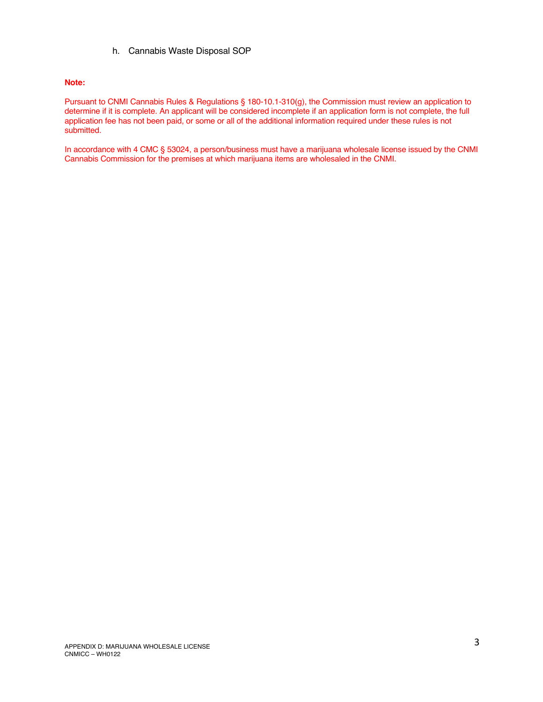h. Cannabis Waste Disposal SOP

#### **Note:**

Pursuant to CNMI Cannabis Rules & Regulations § 180-10.1-310(g), the Commission must review an application to determine if it is complete. An applicant will be considered incomplete if an application form is not complete, the full application fee has not been paid, or some or all of the additional information required under these rules is not submitted.

In accordance with 4 CMC § 53024, a person/business must have a marijuana wholesale license issued by the CNMI Cannabis Commission for the premises at which marijuana items are wholesaled in the CNMI.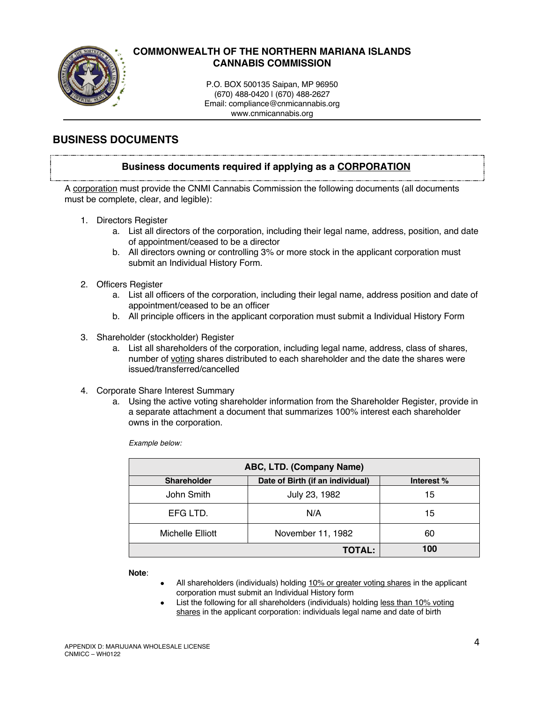

# **COMMONWEALTH OF THE NORTHERN MARIANA ISLANDS CANNABIS COMMISSION**

P.O. BOX 500135 Saipan, MP 96950 (670) 488-0420 | (670) 488-2627 Email: compliance@cnmicannabis.org www.cnmicannabis.org

# **BUSINESS DOCUMENTS**

# **Business documents required if applying as a CORPORATION**

A corporation must provide the CNMI Cannabis Commission the following documents (all documents must be complete, clear, and legible):

- 1. Directors Register
	- a. List all directors of the corporation, including their legal name, address, position, and date of appointment/ceased to be a director
	- b. All directors owning or controlling 3% or more stock in the applicant corporation must submit an Individual History Form.
- 2. Officers Register
	- a. List all officers of the corporation, including their legal name, address position and date of appointment/ceased to be an officer
	- b. All principle officers in the applicant corporation must submit a Individual History Form
- 3. Shareholder (stockholder) Register
	- a. List all shareholders of the corporation, including legal name, address, class of shares, number of voting shares distributed to each shareholder and the date the shares were issued/transferred/cancelled
- 4. Corporate Share Interest Summary
	- a. Using the active voting shareholder information from the Shareholder Register, provide in a separate attachment a document that summarizes 100% interest each shareholder owns in the corporation.

*Example below:*

| ABC, LTD. (Company Name) |                                  |            |  |
|--------------------------|----------------------------------|------------|--|
| <b>Shareholder</b>       | Date of Birth (if an individual) | Interest % |  |
| John Smith               | July 23, 1982                    | 15         |  |
| EFG LTD.                 | N/A                              | 15         |  |
| Michelle Elliott         | November 11, 1982                | 60         |  |
|                          | <b>TOTAL:</b>                    | 100        |  |

**Note**:

- All shareholders (individuals) holding 10% or greater voting shares in the applicant corporation must submit an Individual History form
- List the following for all shareholders (individuals) holding less than 10% voting shares in the applicant corporation: individuals legal name and date of birth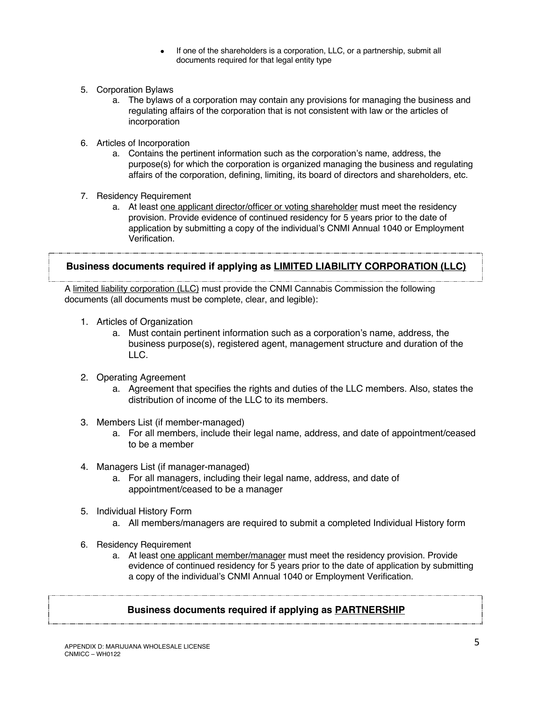- If one of the shareholders is a corporation, LLC, or a partnership, submit all documents required for that legal entity type
- 5. Corporation Bylaws
	- a. The bylaws of a corporation may contain any provisions for managing the business and regulating affairs of the corporation that is not consistent with law or the articles of incorporation
- 6. Articles of Incorporation
	- a. Contains the pertinent information such as the corporation's name, address, the purpose(s) for which the corporation is organized managing the business and regulating affairs of the corporation, defining, limiting, its board of directors and shareholders, etc.
- 7. Residency Requirement
	- a. At least one applicant director/officer or voting shareholder must meet the residency provision. Provide evidence of continued residency for 5 years prior to the date of application by submitting a copy of the individual's CNMI Annual 1040 or Employment Verification.

# **Business documents required if applying as LIMITED LIABILITY CORPORATION (LLC)**

A limited liability corporation (LLC) must provide the CNMI Cannabis Commission the following documents (all documents must be complete, clear, and legible):

- 1. Articles of Organization
	- a. Must contain pertinent information such as a corporation's name, address, the business purpose(s), registered agent, management structure and duration of the LLC.
- 2. Operating Agreement
	- a. Agreement that specifies the rights and duties of the LLC members. Also, states the distribution of income of the LLC to its members.
- 3. Members List (if member-managed)
	- a. For all members, include their legal name, address, and date of appointment/ceased to be a member
- 4. Managers List (if manager-managed)
	- a. For all managers, including their legal name, address, and date of appointment/ceased to be a manager
- 5. Individual History Form
	- a. All members/managers are required to submit a completed Individual History form
- 6. Residency Requirement
	- a. At least one applicant member/manager must meet the residency provision. Provide evidence of continued residency for 5 years prior to the date of application by submitting a copy of the individual's CNMI Annual 1040 or Employment Verification.

# **Business documents required if applying as PARTNERSHIP**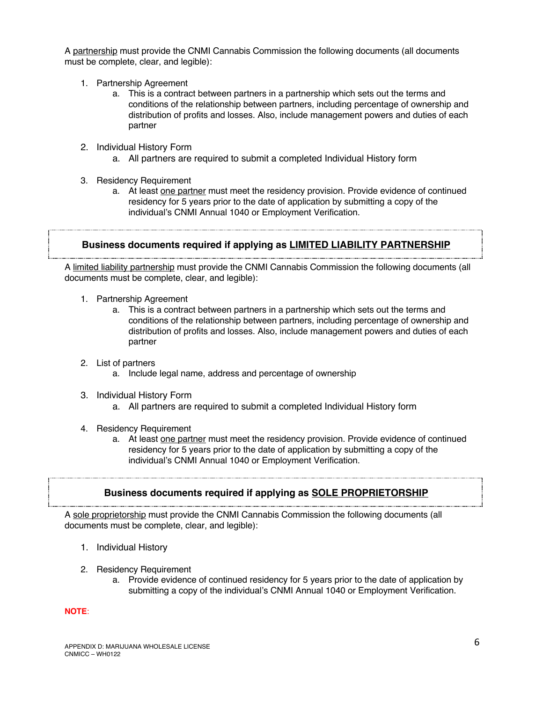A partnership must provide the CNMI Cannabis Commission the following documents (all documents must be complete, clear, and legible):

- 1. Partnership Agreement
	- a. This is a contract between partners in a partnership which sets out the terms and conditions of the relationship between partners, including percentage of ownership and distribution of profits and losses. Also, include management powers and duties of each partner
- 2. Individual History Form
	- a. All partners are required to submit a completed Individual History form
- 3. Residency Requirement
	- a. At least one partner must meet the residency provision. Provide evidence of continued residency for 5 years prior to the date of application by submitting a copy of the individual's CNMI Annual 1040 or Employment Verification.

# **Business documents required if applying as LIMITED LIABILITY PARTNERSHIP**

A limited liability partnership must provide the CNMI Cannabis Commission the following documents (all documents must be complete, clear, and legible):

- 1. Partnership Agreement
	- a. This is a contract between partners in a partnership which sets out the terms and conditions of the relationship between partners, including percentage of ownership and distribution of profits and losses. Also, include management powers and duties of each partner
- 2. List of partners
	- a. Include legal name, address and percentage of ownership
- 3. Individual History Form
	- a. All partners are required to submit a completed Individual History form
- 4. Residency Requirement
	- a. At least one partner must meet the residency provision. Provide evidence of continued residency for 5 years prior to the date of application by submitting a copy of the individual's CNMI Annual 1040 or Employment Verification.

# **Business documents required if applying as SOLE PROPRIETORSHIP**

A sole proprietorship must provide the CNMI Cannabis Commission the following documents (all documents must be complete, clear, and legible):

- 1. Individual History
- 2. Residency Requirement
	- a. Provide evidence of continued residency for 5 years prior to the date of application by submitting a copy of the individual's CNMI Annual 1040 or Employment Verification.

#### **NOTE**: